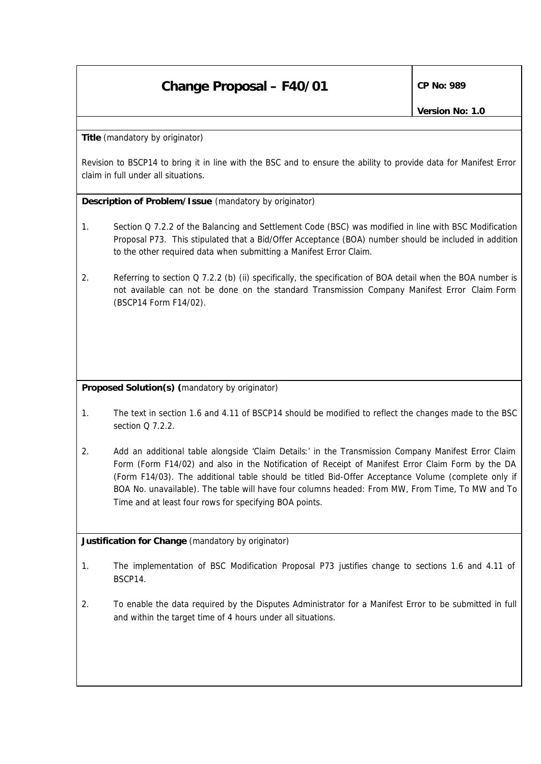## **Change Proposal – F40/01 CP No: 989**

**Title** *(mandatory by originator)*

Revision to BSCP14 to bring it in line with the BSC and to ensure the ability to provide data for Manifest Error claim in full under all situations.

**Description of Problem/Issue** *(mandatory by originator)*

- 1. Section Q 7.2.2 of the Balancing and Settlement Code (BSC) was modified in line with BSC Modification Proposal P73. This stipulated that a Bid/Offer Acceptance (BOA) number should be included in addition to the other required data when submitting a Manifest Error Claim.
- 2. Referring to section Q 7.2.2 (b) (ii) specifically, the specification of BOA detail when the BOA number is not available can not be done on the standard Transmission Company Manifest Error Claim Form (BSCP14 Form F14/02).

**Proposed Solution(s)** *(mandatory by originator)*

- 1. The text in section 1.6 and 4.11 of BSCP14 should be modified to reflect the changes made to the BSC section  $0.7.2.2$
- 2. Add an additional table alongside 'Claim Details:' in the Transmission Company Manifest Error Claim Form (Form F14/02) and also in the Notification of Receipt of Manifest Error Claim Form by the DA (Form F14/03). The additional table should be titled Bid-Offer Acceptance Volume (complete only if BOA No. unavailable). The table will have four columns headed: From MW, From Time, To MW and To Time and at least four rows for specifying BOA points.

**Justification for Change** *(mandatory by originator)*

- 1. The implementation of BSC Modification Proposal P73 justifies change to sections 1.6 and 4.11 of BSCP14.
- 2. To enable the data required by the Disputes Administrator for a Manifest Error to be submitted in full and within the target time of 4 hours under all situations.